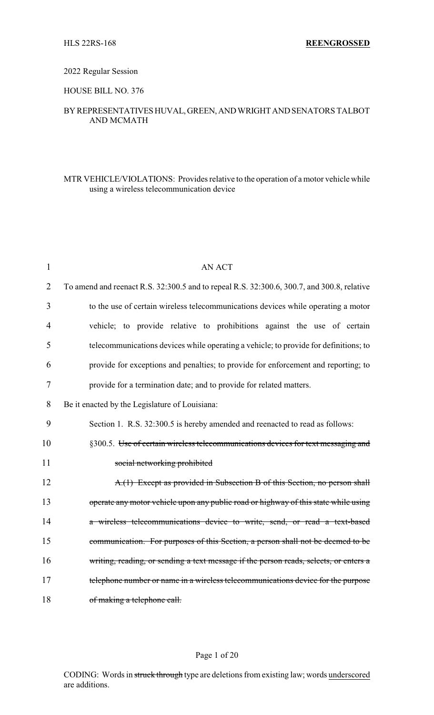### 2022 Regular Session

### HOUSE BILL NO. 376

## BYREPRESENTATIVESHUVAL,GREEN,ANDWRIGHTANDSENATORS TALBOT AND MCMATH

## MTR VEHICLE/VIOLATIONS: Provides relative to the operation of a motor vehicle while using a wireless telecommunication device

| $\mathbf{1}$   | <b>AN ACT</b>                                                                              |
|----------------|--------------------------------------------------------------------------------------------|
| $\overline{2}$ | To amend and reenact R.S. 32:300.5 and to repeal R.S. 32:300.6, 300.7, and 300.8, relative |
| 3              | to the use of certain wireless telecommunications devices while operating a motor          |
| 4              | vehicle; to provide relative to prohibitions against the use of certain                    |
| 5              | telecommunications devices while operating a vehicle; to provide for definitions; to       |
| 6              | provide for exceptions and penalties; to provide for enforcement and reporting; to         |
| 7              | provide for a termination date; and to provide for related matters.                        |
| 8              | Be it enacted by the Legislature of Louisiana:                                             |
| 9              | Section 1. R.S. 32:300.5 is hereby amended and reenacted to read as follows:               |
| 10             | §300.5. Use of certain wireless telecommunications devices for text messaging and          |
| 11             | social networking prohibited                                                               |
| 12             | A.(1) Except as provided in Subsection B of this Section, no person shall                  |
| 13             | operate any motor vehicle upon any public road or highway of this state while using        |
| 14             | a wireless telecommunications device to write, send, or read a text-based                  |
| 15             | communication. For purposes of this Section, a person shall not be deemed to be            |
| 16             | writing, reading, or sending a text message if the person reads, selects, or enters a      |
| 17             | telephone number or name in a wireless telecommunications device for the purpose           |
| 18             | of making a telephone call.                                                                |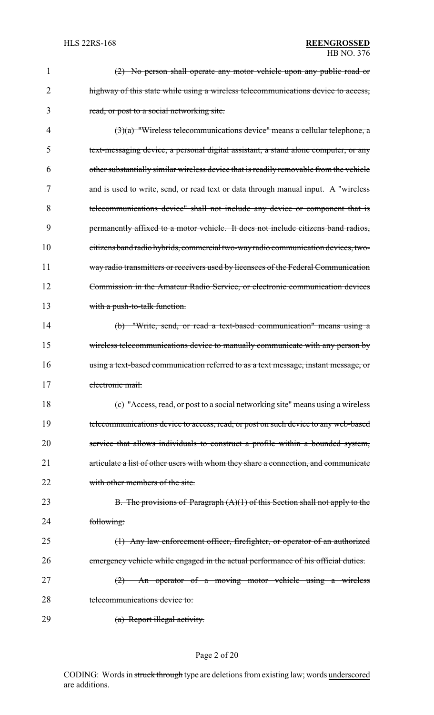| 1  | (2) No person shall operate any motor vehicle upon any public road or                  |
|----|----------------------------------------------------------------------------------------|
| 2  | highway of this state while using a wireless telecommunications device to access,      |
| 3  | read, or post to a social networking site.                                             |
| 4  | $(3)(a)$ "Wireless telecommunications device" means a cellular telephone, a            |
| 5  | text-messaging device, a personal digital assistant, a stand alone computer, or any    |
| 6  | other substantially similar wireless device that is readily removable from the vehicle |
| 7  | and is used to write, send, or read text or data through manual input. A "wireless     |
| 8  | telecommunications device" shall not include any device or component that is           |
| 9  | permanently affixed to a motor vehicle. It does not include citizens band radios,      |
| 10 | citizens band radio hybrids, commercial two-way radio communication devices, two-      |
| 11 | way radio transmitters or receivers used by licensees of the Federal Communication     |
| 12 | Commission in the Amateur Radio Service, or electronic communication devices           |
| 13 | with a push-to-talk function.                                                          |
| 14 | (b) "Write, send, or read a text-based communication" means using a                    |
| 15 | wireless telecommunications device to manually communicate with any person by          |
| 16 | using a text-based communication referred to as a text message, instant message, or    |
| 17 | electronic mail.                                                                       |
| 18 | (c) "Access, read, or post to a social networking site" means using a wireless         |
| 19 | telecommunications device to access, read, or post on such device to any web-based     |
| 20 | service that allows individuals to construct a profile within a bounded system,        |
| 21 | articulate a list of other users with whom they share a connection, and communicate    |
| 22 | with other members of the site.                                                        |
| 23 | B. The provisions of Paragraph $(A)(1)$ of this Section shall not apply to the         |
| 24 | following:                                                                             |
| 25 | (1) Any law enforcement officer, firefighter, or operator of an authorized             |
| 26 | emergency vehicle while engaged in the actual performance of his official duties.      |
| 27 | An operator of a moving motor vehicle using a wireless<br>(2)                          |
| 28 | telecommunications device to:                                                          |
| 29 | (a) Report illegal activity.                                                           |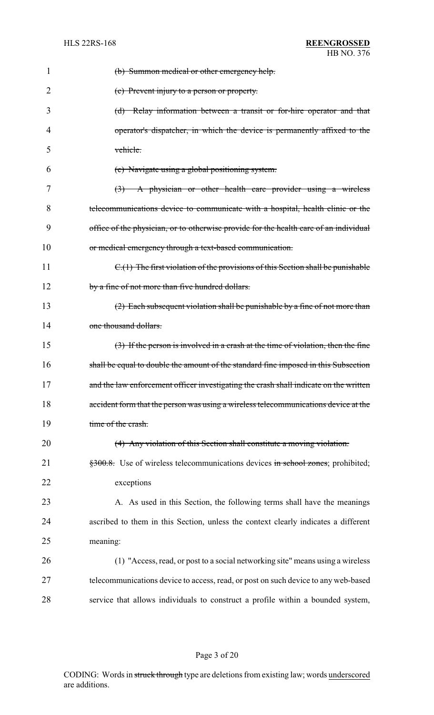| 1  | (b) Summon medical or other emergency help.                                           |
|----|---------------------------------------------------------------------------------------|
| 2  | (c) Prevent injury to a person or property.                                           |
| 3  | (d) Relay information between a transit or for-hire operator and that                 |
| 4  | operator's dispatcher, in which the device is permanently affixed to the              |
| 5  | vehicle.                                                                              |
| 6  | (e) Navigate using a global positioning system.                                       |
| 7  | $\left(\frac{3}{2}\right)$ A physician or other health care provider using a wireless |
| 8  | telecommunications device to communicate with a hospital, health clinic or the        |
| 9  | office of the physician, or to otherwise provide for the health care of an individual |
| 10 | or medical emergency through a text-based communication.                              |
| 11 | $C1(1)$ The first violation of the provisions of this Section shall be punishable     |
| 12 | by a fine of not more than five hundred dollars.                                      |
| 13 | $(2)$ Each subsequent violation shall be punishable by a fine of not more than        |
| 14 | one thousand dollars.                                                                 |
| 15 | (3) If the person is involved in a crash at the time of violation, then the fine      |
| 16 | shall be equal to double the amount of the standard fine imposed in this Subsection   |
| 17 | and the law enforcement officer investigating the crash shall indicate on the written |
| 18 | accident form that the person was using a wireless telecommunications device at the   |
| 19 | time of the crash.                                                                    |
| 20 | (4) Any violation of this Section shall constitute a moving violation.                |
| 21 | \$300.8. Use of wireless telecommunications devices in school zones; prohibited;      |
| 22 | exceptions                                                                            |
| 23 | A. As used in this Section, the following terms shall have the meanings               |
| 24 | ascribed to them in this Section, unless the context clearly indicates a different    |
| 25 | meaning:                                                                              |
| 26 | (1) "Access, read, or post to a social networking site" means using a wireless        |
| 27 | telecommunications device to access, read, or post on such device to any web-based    |
| 28 | service that allows individuals to construct a profile within a bounded system,       |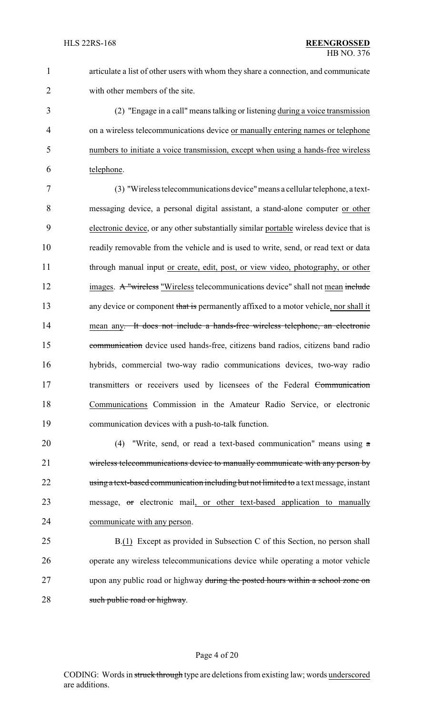articulate a list of other users with whom they share a connection, and communicate with other members of the site.

 (2) "Engage in a call" means talking or listening during a voice transmission on a wireless telecommunications device or manually entering names or telephone numbers to initiate a voice transmission, except when using a hands-free wireless 6 telephone.

 (3) "Wireless telecommunications device"means a cellular telephone, a text- messaging device, a personal digital assistant, a stand-alone computer or other electronic device, or any other substantially similar portable wireless device that is readily removable from the vehicle and is used to write, send, or read text or data through manual input or create, edit, post, or view video, photography, or other 12 images. A "wireless "Wireless telecommunications device" shall not mean include 13 any device or component that is permanently affixed to a motor vehicle, nor shall it 14 mean any. It does not include a hands-free wireless telephone, an electronic communication device used hands-free, citizens band radios, citizens band radio hybrids, commercial two-way radio communications devices, two-way radio 17 transmitters or receivers used by licensees of the Federal Communication Communications Commission in the Amateur Radio Service, or electronic communication devices with a push-to-talk function.

 (4) "Write, send, or read a text-based communication" means using a wireless telecommunications device to manually communicate with any person by 22 using a text-based communication including but not limited to a text message, instant 23 message, or electronic mail, or other text-based application to manually communicate with any person.

 B.(1) Except as provided in Subsection C of this Section, no person shall operate any wireless telecommunications device while operating a motor vehicle upon any public road or highway during the posted hours within a school zone on 28 such public road or highway.

### Page 4 of 20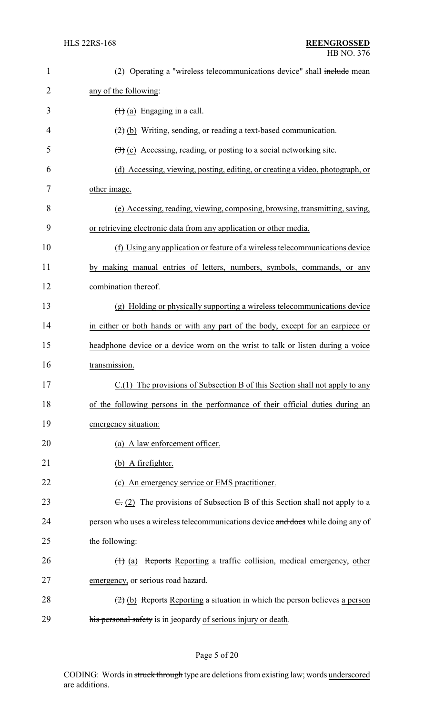| $\mathbf{1}$   | (2) Operating a "wireless telecommunications device" shall include mean                    |
|----------------|--------------------------------------------------------------------------------------------|
| $\overline{2}$ | any of the following:                                                                      |
| 3              | $(1)$ (a) Engaging in a call.                                                              |
| 4              | $(2)$ (b) Writing, sending, or reading a text-based communication.                         |
| 5              | $\left(\frac{1}{2}\right)$ (c) Accessing, reading, or posting to a social networking site. |
| 6              | (d) Accessing, viewing, posting, editing, or creating a video, photograph, or              |
| 7              | other image.                                                                               |
| 8              | (e) Accessing, reading, viewing, composing, browsing, transmitting, saving,                |
| 9              | or retrieving electronic data from any application or other media.                         |
| 10             | (f) Using any application or feature of a wireless telecommunications device               |
| 11             | by making manual entries of letters, numbers, symbols, commands, or any                    |
| 12             | combination thereof.                                                                       |
| 13             | (g) Holding or physically supporting a wireless telecommunications device                  |
| 14             | in either or both hands or with any part of the body, except for an earpiece or            |
| 15             | headphone device or a device worn on the wrist to talk or listen during a voice            |
| 16             | transmission.                                                                              |
| 17             | C.(1) The provisions of Subsection B of this Section shall not apply to any                |
| 18             | of the following persons in the performance of their official duties during an             |
| 19             | emergency situation:                                                                       |
| 20             | (a) A law enforcement officer.                                                             |
| 21             | (b) A firefighter.                                                                         |
| 22             | (c) An emergency service or EMS practitioner.                                              |
| 23             | $\overline{C}$ : (2) The provisions of Subsection B of this Section shall not apply to a   |
| 24             | person who uses a wireless telecommunications device and does while doing any of           |
| 25             | the following:                                                                             |
| 26             | (1) (a) Reports Reporting a traffic collision, medical emergency, other                    |
| 27             | emergency, or serious road hazard.                                                         |
| 28             | $(2)$ (b) Reports Reporting a situation in which the person believes a person              |
| 29             | his personal safety is in jeopardy of serious injury or death.                             |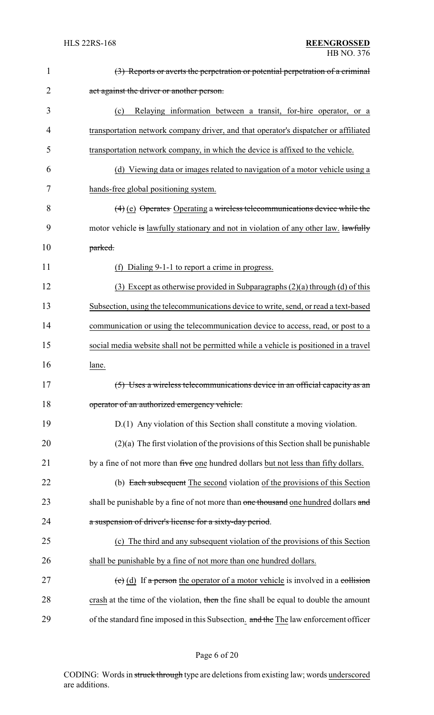| 1              | (3) Reports or averts the perpetration or potential perpetration of a criminal            |
|----------------|-------------------------------------------------------------------------------------------|
| $\overline{2}$ | act against the driver or another person.                                                 |
| 3              | Relaying information between a transit, for-hire operator, or a<br>(c)                    |
| 4              | transportation network company driver, and that operator's dispatcher or affiliated       |
| 5              | transportation network company, in which the device is affixed to the vehicle.            |
| 6              | (d) Viewing data or images related to navigation of a motor vehicle using a               |
| 7              | hands-free global positioning system.                                                     |
| 8              | $(4)$ (e) Operates Operating a wireless telecommunications device while the               |
| 9              | motor vehicle is lawfully stationary and not in violation of any other law. lawfully      |
| 10             | parked.                                                                                   |
| 11             | (f) Dialing 9-1-1 to report a crime in progress.                                          |
| 12             | $(3)$ Except as otherwise provided in Subparagraphs $(2)(a)$ through $(d)$ of this        |
| 13             | Subsection, using the telecommunications device to write, send, or read a text-based      |
| 14             | communication or using the telecommunication device to access, read, or post to a         |
| 15             | social media website shall not be permitted while a vehicle is positioned in a travel     |
| 16             | lane.                                                                                     |
| 17             | (5) Uses a wireless telecommunications device in an official capacity as an               |
| 18             | operator of an authorized emergency vehicle.                                              |
| 19             | D.(1) Any violation of this Section shall constitute a moving violation.                  |
| 20             | $(2)(a)$ The first violation of the provisions of this Section shall be punishable        |
| 21             | by a fine of not more than five one hundred dollars but not less than fifty dollars.      |
| 22             | (b) Each subsequent The second violation of the provisions of this Section                |
| 23             | shall be punishable by a fine of not more than one thousand one hundred dollars and       |
| 24             | a suspension of driver's license for a sixty-day period.                                  |
| 25             | (c) The third and any subsequent violation of the provisions of this Section              |
| 26             | shall be punishable by a fine of not more than one hundred dollars.                       |
| 27             | $\overline{c}$ (d) If a person the operator of a motor vehicle is involved in a collision |
| 28             | crash at the time of the violation, then the fine shall be equal to double the amount     |
| 29             | of the standard fine imposed in this Subsection. and the The law enforcement officer      |

# Page 6 of 20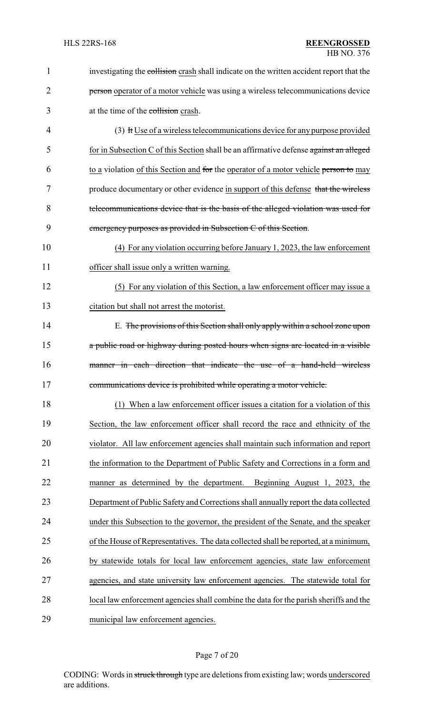| 1              | investigating the collision crash shall indicate on the written accident report that the |
|----------------|------------------------------------------------------------------------------------------|
| $\overline{2}$ | person operator of a motor vehicle was using a wireless telecommunications device        |
| 3              | at the time of the collision crash.                                                      |
| 4              | (3) It Use of a wireless telecommunications device for any purpose provided              |
| 5              | for in Subsection C of this Section shall be an affirmative defense against an alleged   |
| 6              | to a violation of this Section and for the operator of a motor vehicle person to may     |
| 7              | produce documentary or other evidence in support of this defense that the wireless       |
| 8              | telecommunications device that is the basis of the alleged violation was used for        |
| 9              | emergency purposes as provided in Subsection C of this Section.                          |
| 10             | (4) For any violation occurring before January 1, 2023, the law enforcement              |
| 11             | officer shall issue only a written warning.                                              |
| 12             | (5) For any violation of this Section, a law enforcement officer may issue a             |
| 13             | citation but shall not arrest the motorist.                                              |
| 14             | E. The provisions of this Section shall only apply within a school zone upon             |
| 15             | a public road or highway during posted hours when signs are located in a visible         |
| 16             | manner in each direction that indicate the use of a hand-held wireless                   |
| 17             | communications device is prohibited while operating a motor vehicle.                     |
| 18             | (1) When a law enforcement officer issues a citation for a violation of this             |
| 19             | Section, the law enforcement officer shall record the race and ethnicity of the          |
| 20             | violator. All law enforcement agencies shall maintain such information and report        |
| 21             | the information to the Department of Public Safety and Corrections in a form and         |
| 22             | manner as determined by the department. Beginning August 1, 2023, the                    |
| 23             | Department of Public Safety and Corrections shall annually report the data collected     |
| 24             | under this Subsection to the governor, the president of the Senate, and the speaker      |
| 25             | of the House of Representatives. The data collected shall be reported, at a minimum,     |
| 26             | by statewide totals for local law enforcement agencies, state law enforcement            |
| 27             | agencies, and state university law enforcement agencies. The statewide total for         |
| 28             | local law enforcement agencies shall combine the data for the parish sheriffs and the    |
| 29             | municipal law enforcement agencies.                                                      |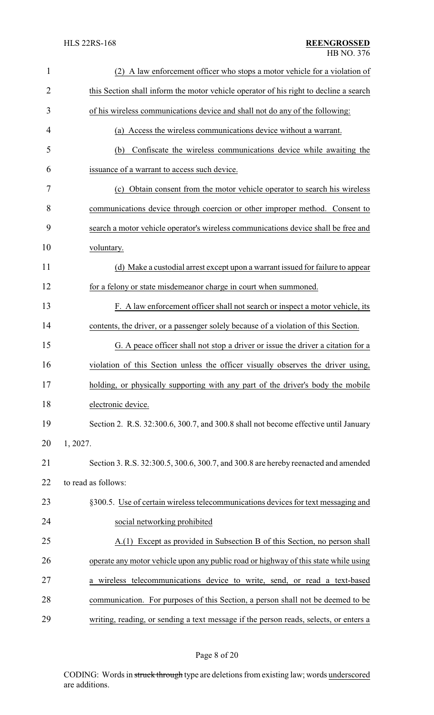| $\mathbf{1}$   | (2) A law enforcement officer who stops a motor vehicle for a violation of            |
|----------------|---------------------------------------------------------------------------------------|
| $\overline{2}$ | this Section shall inform the motor vehicle operator of his right to decline a search |
| 3              | of his wireless communications device and shall not do any of the following:          |
| $\overline{4}$ | (a) Access the wireless communications device without a warrant.                      |
| 5              | Confiscate the wireless communications device while awaiting the<br>(b)               |
| 6              | issuance of a warrant to access such device.                                          |
| 7              | (c) Obtain consent from the motor vehicle operator to search his wireless             |
| 8              | communications device through coercion or other improper method. Consent to           |
| 9              | search a motor vehicle operator's wireless communications device shall be free and    |
| 10             | voluntary.                                                                            |
| 11             | (d) Make a custodial arrest except upon a warrant issued for failure to appear        |
| 12             | for a felony or state misdemeanor charge in court when summoned.                      |
| 13             | F. A law enforcement officer shall not search or inspect a motor vehicle, its         |
| 14             | contents, the driver, or a passenger solely because of a violation of this Section.   |
| 15             | G. A peace officer shall not stop a driver or issue the driver a citation for a       |
| 16             | violation of this Section unless the officer visually observes the driver using,      |
| 17             | holding, or physically supporting with any part of the driver's body the mobile       |
| 18             | electronic device.                                                                    |
| 19             | Section 2. R.S. 32:300.6, 300.7, and 300.8 shall not become effective until January   |
| 20             | 1, 2027.                                                                              |
| 21             | Section 3. R.S. 32:300.5, 300.6, 300.7, and 300.8 are hereby reenacted and amended    |
| 22             | to read as follows:                                                                   |
| 23             | §300.5. Use of certain wireless telecommunications devices for text messaging and     |
| 24             | social networking prohibited                                                          |
| 25             | A.(1) Except as provided in Subsection B of this Section, no person shall             |
| 26             | operate any motor vehicle upon any public road or highway of this state while using   |
| 27             | a wireless telecommunications device to write, send, or read a text-based             |
| 28             | communication. For purposes of this Section, a person shall not be deemed to be       |
| 29             | writing, reading, or sending a text message if the person reads, selects, or enters a |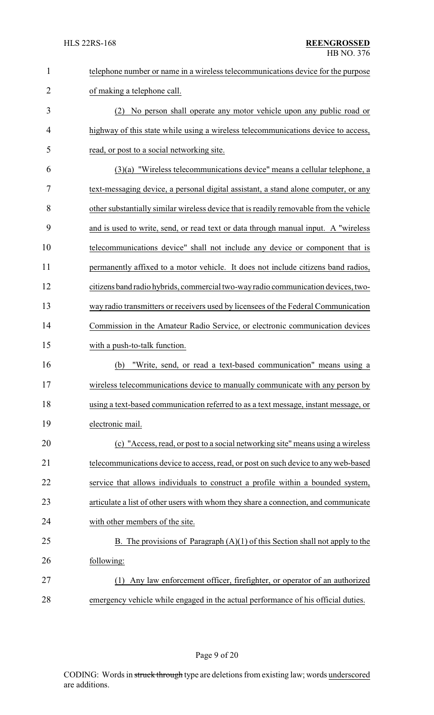| $\mathbf{1}$   | telephone number or name in a wireless telecommunications device for the purpose       |
|----------------|----------------------------------------------------------------------------------------|
| $\overline{2}$ | of making a telephone call.                                                            |
| 3              | (2) No person shall operate any motor vehicle upon any public road or                  |
| $\overline{4}$ | highway of this state while using a wireless telecommunications device to access,      |
| 5              | read, or post to a social networking site.                                             |
| 6              | $(3)(a)$ "Wireless telecommunications device" means a cellular telephone, a            |
| 7              | text-messaging device, a personal digital assistant, a stand alone computer, or any    |
| 8              | other substantially similar wireless device that is readily removable from the vehicle |
| 9              | and is used to write, send, or read text or data through manual input. A "wireless     |
| 10             | telecommunications device" shall not include any device or component that is           |
| 11             | permanently affixed to a motor vehicle. It does not include citizens band radios,      |
| 12             | citizens band radio hybrids, commercial two-way radio communication devices, two-      |
| 13             | way radio transmitters or receivers used by licensees of the Federal Communication     |
| 14             | Commission in the Amateur Radio Service, or electronic communication devices           |
| 15             | with a push-to-talk function.                                                          |
| 16             | "Write, send, or read a text-based communication" means using a<br>(b)                 |
| 17             | wireless telecommunications device to manually communicate with any person by          |
| 18             | using a text-based communication referred to as a text message, instant message, or    |
| 19             | electronic mail.                                                                       |
| 20             | (c) "Access, read, or post to a social networking site" means using a wireless         |
| 21             | telecommunications device to access, read, or post on such device to any web-based     |
| 22             | service that allows individuals to construct a profile within a bounded system,        |
| 23             | articulate a list of other users with whom they share a connection, and communicate    |
| 24             | with other members of the site.                                                        |
| 25             | B. The provisions of Paragraph $(A)(1)$ of this Section shall not apply to the         |
| 26             | following:                                                                             |
| 27             | Any law enforcement officer, firefighter, or operator of an authorized<br>(1)          |
| 28             | emergency vehicle while engaged in the actual performance of his official duties.      |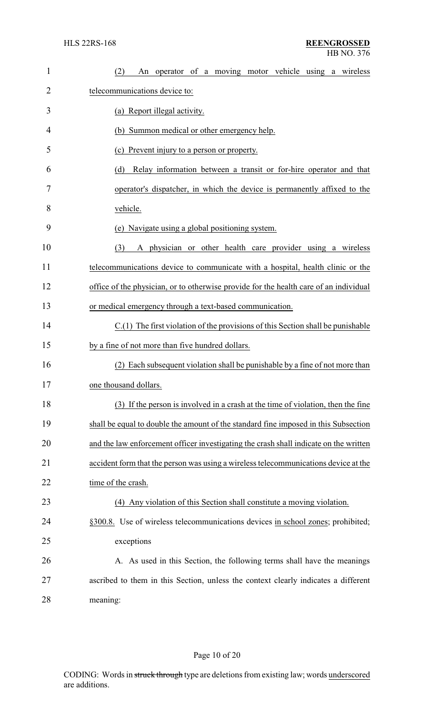| $\mathbf{1}$ | operator of a moving motor vehicle using a wireless<br>(2)<br>An                      |
|--------------|---------------------------------------------------------------------------------------|
| 2            | telecommunications device to:                                                         |
| 3            | (a) Report illegal activity.                                                          |
| 4            | (b) Summon medical or other emergency help.                                           |
| 5            | (c) Prevent injury to a person or property.                                           |
| 6            | (d)<br>Relay information between a transit or for-hire operator and that              |
| 7            | operator's dispatcher, in which the device is permanently affixed to the              |
| 8            | vehicle.                                                                              |
| 9            | (e) Navigate using a global positioning system.                                       |
| 10           | (3)<br>A physician or other health care provider using a wireless                     |
| 11           | telecommunications device to communicate with a hospital, health clinic or the        |
| 12           | office of the physician, or to otherwise provide for the health care of an individual |
| 13           | or medical emergency through a text-based communication.                              |
| 14           | $C(1)$ The first violation of the provisions of this Section shall be punishable      |
| 15           | by a fine of not more than five hundred dollars.                                      |
| 16           | Each subsequent violation shall be punishable by a fine of not more than              |
| 17           | one thousand dollars.                                                                 |
| 18           | (3) If the person is involved in a crash at the time of violation, then the fine      |
| 19           | shall be equal to double the amount of the standard fine imposed in this Subsection   |
| 20           | and the law enforcement officer investigating the crash shall indicate on the written |
| 21           | accident form that the person was using a wireless telecommunications device at the   |
| 22           | time of the crash.                                                                    |
| 23           | (4) Any violation of this Section shall constitute a moving violation.                |
| 24           | §300.8. Use of wireless telecommunications devices in school zones; prohibited;       |
| 25           | exceptions                                                                            |
| 26           | A. As used in this Section, the following terms shall have the meanings               |
| 27           | ascribed to them in this Section, unless the context clearly indicates a different    |
| 28           | meaning:                                                                              |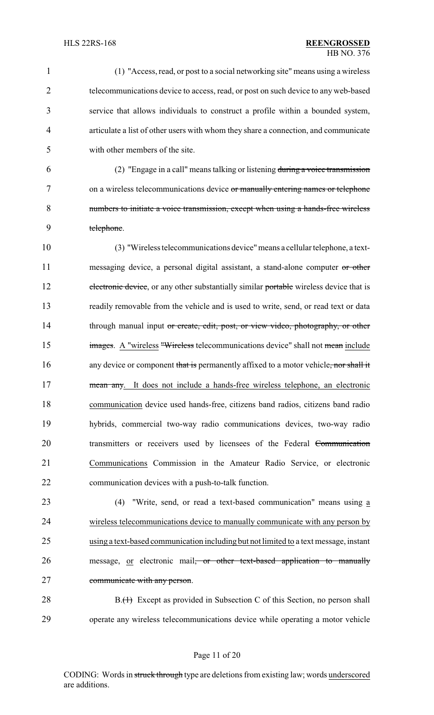(1) "Access, read, or post to a social networking site" means using a wireless telecommunications device to access, read, or post on such device to any web-based service that allows individuals to construct a profile within a bounded system, articulate a list of other users with whom they share a connection, and communicate with other members of the site.

 (2) "Engage in a call" means talking or listening during a voice transmission on a wireless telecommunications device or manually entering names or telephone numbers to initiate a voice transmission, except when using a hands-free wireless telephone.

10 (3) "Wireless telecommunications device"means a cellular telephone, a text-11 messaging device, a personal digital assistant, a stand-alone computer or other 12 electronic device, or any other substantially similar portable wireless device that is 13 readily removable from the vehicle and is used to write, send, or read text or data 14 through manual input or create, edit, post, or view video, photography, or other 15 images. A "wireless "Wireless telecommunications device" shall not mean include 16 any device or component that is permanently affixed to a motor vehicle, nor shall it 17 mean any. It does not include a hands-free wireless telephone, an electronic 18 communication device used hands-free, citizens band radios, citizens band radio 19 hybrids, commercial two-way radio communications devices, two-way radio 20 transmitters or receivers used by licensees of the Federal Communication 21 Communications Commission in the Amateur Radio Service, or electronic 22 communication devices with a push-to-talk function.

23 (4) "Write, send, or read a text-based communication" means using a 24 wireless telecommunications device to manually communicate with any person by 25 using a text-based communication including but not limited to a text message, instant 26 message, or electronic mail<del>, or other text-based application to manually</del> 27 communicate with any person.

28 B.(1) Except as provided in Subsection C of this Section, no person shall 29 operate any wireless telecommunications device while operating a motor vehicle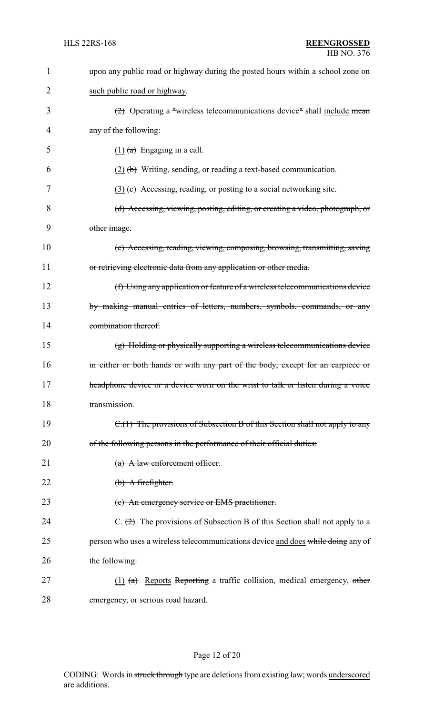| $\mathbf{1}$ | upon any public road or highway during the posted hours within a school zone on      |
|--------------|--------------------------------------------------------------------------------------|
| 2            | such public road or highway.                                                         |
| 3            | $\left(2\right)$ Operating a "wireless telecommunications device" shall include mean |
| 4            | any of the following:                                                                |
| 5            | $(1)$ (a) Engaging in a call.                                                        |
| 6            | $(2)$ (b) Writing, sending, or reading a text-based communication.                   |
| 7            | $(3)$ (c) Accessing, reading, or posting to a social networking site.                |
| 8            | (d) Accessing, viewing, posting, editing, or creating a video, photograph, or        |
| 9            | other image.                                                                         |
| 10           | (e) Accessing, reading, viewing, composing, browsing, transmitting, saving           |
| 11           | or retrieving electronic data from any application or other media.                   |
| 12           | (f) Using any application or feature of a wireless telecommunications device         |
| 13           | by making manual entries of letters, numbers, symbols, commands, or any              |
| 14           | combination thereof.                                                                 |
| 15           | (g) Holding or physically supporting a wireless telecommunications device            |
| 16           | in either or both hands or with any part of the body, except for an earpiece or      |
| 17           | headphone device or a device worn on the wrist to talk or listen during a voice      |
| 18           | transmission.                                                                        |
| 19           | C.(1) The provisions of Subsection B of this Section shall not apply to any          |
| 20           | of the following persons in the performance of their official duties:                |
| 21           | $(a)$ A law enforcement officer.                                                     |
| 22           | $(b)$ A firefighter.                                                                 |
| 23           | (c) An emergency service or EMS practitioner.                                        |
| 24           | $C_1$ $(2)$ The provisions of Subsection B of this Section shall not apply to a      |
| 25           | person who uses a wireless telecommunications device and does while doing any of     |
| 26           | the following:                                                                       |
| 27           | (1) $(a)$ Reports Reporting a traffic collision, medical emergency, other            |
| 28           | emergency, or serious road hazard.                                                   |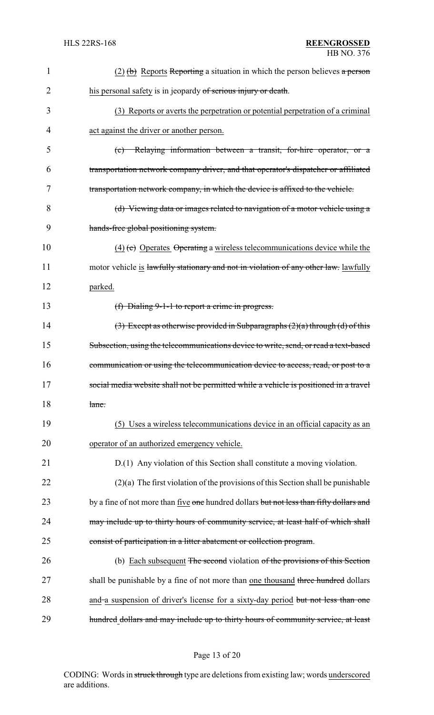| 1  | $(2)$ (b) Reports Reporting a situation in which the person believes a person           |
|----|-----------------------------------------------------------------------------------------|
| 2  | his personal safety is in jeopardy of serious injury or death.                          |
| 3  | (3) Reports or averts the perpetration or potential perpetration of a criminal          |
| 4  | act against the driver or another person.                                               |
| 5  | (c) Relaying information between a transit, for-hire operator, or a                     |
| 6  | transportation network company driver, and that operator's dispatcher or affiliated     |
| 7  | transportation network company, in which the device is affixed to the vehicle.          |
| 8  | (d) Viewing data or images related to navigation of a motor vehicle using a             |
| 9  | hands-free global positioning system.                                                   |
| 10 | $\overline{(4)}$ (e) Operates Operating a wireless telecommunications device while the  |
| 11 | motor vehicle is lawfully stationary and not in violation of any other law. lawfully    |
| 12 | parked.                                                                                 |
| 13 | (f) Dialing $9-1-1$ to report a crime in progress.                                      |
| 14 | $(3)$ Except as otherwise provided in Subparagraphs $(2)(a)$ through $(d)$ of this      |
| 15 | Subsection, using the telecommunications device to write, send, or read a text-based    |
| 16 | communication or using the telecommunication device to access, read, or post to a       |
| 17 | social media website shall not be permitted while a vehicle is positioned in a travel   |
| 18 | lane.                                                                                   |
| 19 | (5) Uses a wireless telecommunications device in an official capacity as an             |
| 20 | operator of an authorized emergency vehicle.                                            |
| 21 | D.(1) Any violation of this Section shall constitute a moving violation.                |
| 22 | $(2)(a)$ The first violation of the provisions of this Section shall be punishable      |
| 23 | by a fine of not more than five one hundred dollars but not less than fifty dollars and |
| 24 | may include up to thirty hours of community service, at least half of which shall       |
| 25 | consist of participation in a litter abatement or collection program.                   |
| 26 | (b) Each subsequent The second violation of the provisions of this Section              |
| 27 | shall be punishable by a fine of not more than one thousand three hundred dollars       |
| 28 | and a suspension of driver's license for a sixty-day period but not less than one       |
| 29 | hundred dollars and may include up to thirty hours of community service, at least       |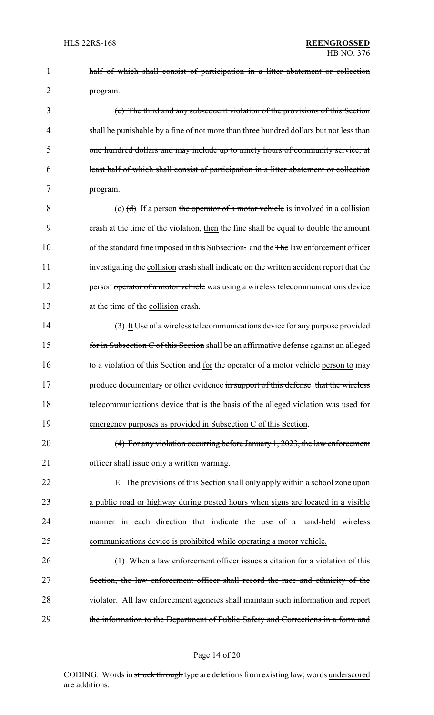1 half of which shall consist of participation in a litter abatement or collection 2 program. 3 (c) The third and any subsequent violation of the provisions of this Section 4 shall be punishable by a fine of not more than three hundred dollars but not less than 5 one hundred dollars and may include up to ninety hours of community service, at 6 least half of which shall consist of participation in a litter abatement or collection 7 program. 8 (c)  $(d)$  If a person the operator of a motor vehicle is involved in a collision 9 crash at the time of the violation, then the fine shall be equal to double the amount 10 of the standard fine imposed in this Subsection. and the The law enforcement officer 11 investigating the collision erash shall indicate on the written accident report that the 12 person operator of a motor vehicle was using a wireless telecommunications device 13 at the time of the collision crash. 14 (3) It Use of a wireless telecommunications device for any purpose provided 15 for in Subsection C of this Section shall be an affirmative defense against an alleged 16 to a violation of this Section and for the operator of a motor vehicle person to may 17 produce documentary or other evidence in support of this defense that the wireless 18 telecommunications device that is the basis of the alleged violation was used for 19 emergency purposes as provided in Subsection C of this Section. 20 (4) For any violation occurring before January 1, 2023, the law enforcement 21 officer shall issue only a written warning. 22 E. The provisions of this Section shall only apply within a school zone upon 23 a public road or highway during posted hours when signs are located in a visible 24 manner in each direction that indicate the use of a hand-held wireless 25 communications device is prohibited while operating a motor vehicle. 26 (1) When a law enforcement officer issues a citation for a violation of this 27 Section, the law enforcement officer shall record the race and ethnicity of the 28 violator. All law enforcement agencies shall maintain such information and report 29 the information to the Department of Public Safety and Corrections in a form and

### Page 14 of 20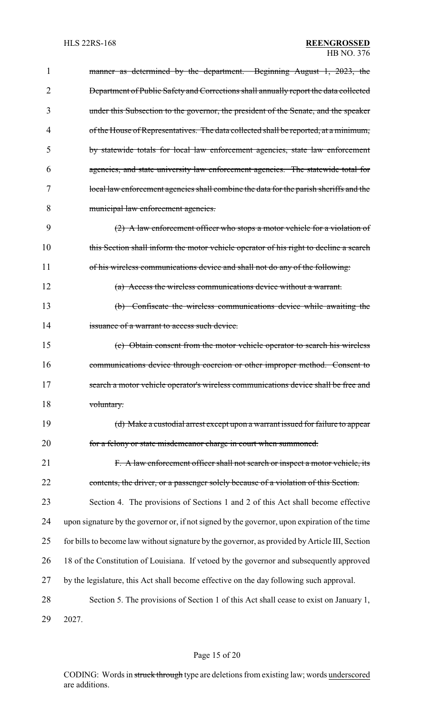| 1              | manner as determined by the department. Beginning August 1, 2023, the                          |
|----------------|------------------------------------------------------------------------------------------------|
| $\overline{2}$ | <b>Department of Public Safety and Corrections shall annually report the data collected</b>    |
| 3              | under this Subsection to the governor, the president of the Senate, and the speaker            |
| 4              | of the House of Representatives. The data collected shall be reported, at a minimum,           |
| 5              | by statewide totals for local law enforcement agencies, state law enforcement                  |
| 6              | agencies, and state university law enforcement agencies. The statewide total for               |
| 7              | local law enforcement agencies shall combine the data for the parish sheriffs and the          |
| 8              | municipal law enforcement agencies.                                                            |
| 9              | (2) A law enforcement officer who stops a motor vehicle for a violation of                     |
| 10             | this Section shall inform the motor vehicle operator of his right to decline a search          |
| 11             | of his wireless communications device and shall not do any of the following:                   |
| 12             | (a) Access the wireless communications device without a warrant.                               |
| 13             | (b) Confiscate the wireless communications device while awaiting the                           |
| 14             | issuance of a warrant to access such device.                                                   |
| 15             | (c) Obtain consent from the motor vehicle operator to search his wireless                      |
| 16             | communications device through coercion or other improper method. Consent to                    |
| 17             | search a motor vehicle operator's wireless communications device shall be free and             |
| 18             | voluntary.                                                                                     |
| 19             | (d) Make a custodial arrest except upon a warrant issued for failure to appear                 |
| 20             | for a felony or state misdemeanor charge in court when summoned.                               |
| 21             | F. A law enforcement officer shall not search or inspect a motor vehicle, its                  |
| 22             | contents, the driver, or a passenger solely because of a violation of this Section.            |
| 23             | Section 4. The provisions of Sections 1 and 2 of this Act shall become effective               |
| 24             | upon signature by the governor or, if not signed by the governor, upon expiration of the time  |
| 25             | for bills to become law without signature by the governor, as provided by Article III, Section |
| 26             | 18 of the Constitution of Louisiana. If vetoed by the governor and subsequently approved       |
| 27             | by the legislature, this Act shall become effective on the day following such approval.        |
| 28             | Section 5. The provisions of Section 1 of this Act shall cease to exist on January 1,          |
| 29             | 2027.                                                                                          |

# Page 15 of 20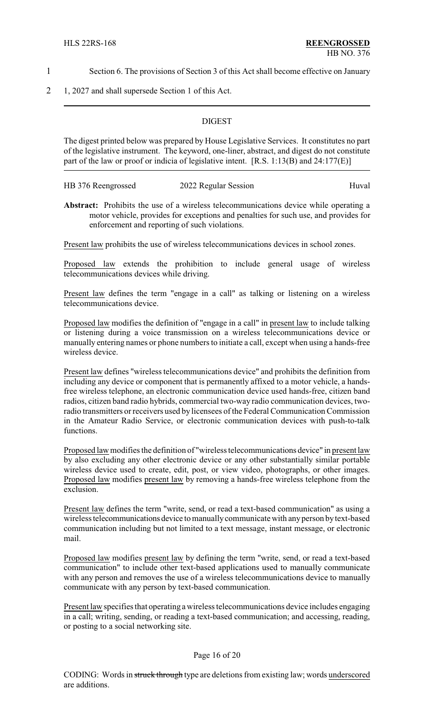- 1 Section 6. The provisions of Section 3 of this Act shall become effective on January
- 2 1, 2027 and shall supersede Section 1 of this Act.

#### **DIGEST**

The digest printed below was prepared by House Legislative Services. It constitutes no part of the legislative instrument. The keyword, one-liner, abstract, and digest do not constitute part of the law or proof or indicia of legislative intent. [R.S. 1:13(B) and 24:177(E)]

| HB 376 Reengrossed | 2022 Regular Session | Huval |
|--------------------|----------------------|-------|
|--------------------|----------------------|-------|

**Abstract:** Prohibits the use of a wireless telecommunications device while operating a motor vehicle, provides for exceptions and penalties for such use, and provides for enforcement and reporting of such violations.

Present law prohibits the use of wireless telecommunications devices in school zones.

Proposed law extends the prohibition to include general usage of wireless telecommunications devices while driving.

Present law defines the term "engage in a call" as talking or listening on a wireless telecommunications device.

Proposed law modifies the definition of "engage in a call" in present law to include talking or listening during a voice transmission on a wireless telecommunications device or manually entering names or phone numbers to initiate a call, except when using a hands-free wireless device.

Present law defines "wireless telecommunications device" and prohibits the definition from including any device or component that is permanently affixed to a motor vehicle, a handsfree wireless telephone, an electronic communication device used hands-free, citizen band radios, citizen band radio hybrids, commercial two-way radio communication devices, tworadio transmitters or receivers used by licensees of the Federal Communication Commission in the Amateur Radio Service, or electronic communication devices with push-to-talk functions.

Proposed law modifies the definition of "wireless telecommunications device" in present law by also excluding any other electronic device or any other substantially similar portable wireless device used to create, edit, post, or view video, photographs, or other images. Proposed law modifies present law by removing a hands-free wireless telephone from the exclusion.

Present law defines the term "write, send, or read a text-based communication" as using a wireless telecommunications device to manuallycommunicate with anyperson bytext-based communication including but not limited to a text message, instant message, or electronic mail.

Proposed law modifies present law by defining the term "write, send, or read a text-based communication" to include other text-based applications used to manually communicate with any person and removes the use of a wireless telecommunications device to manually communicate with any person by text-based communication.

Present law specifies that operating a wireless telecommunications device includes engaging in a call; writing, sending, or reading a text-based communication; and accessing, reading, or posting to a social networking site.

#### Page 16 of 20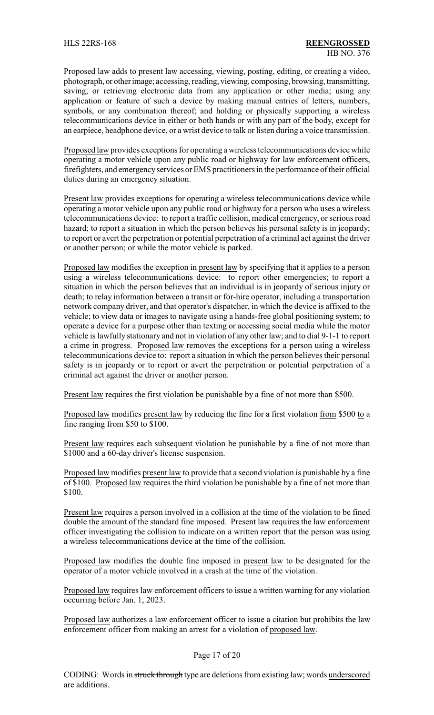Proposed law adds to present law accessing, viewing, posting, editing, or creating a video, photograph, or otherimage; accessing, reading, viewing, composing, browsing, transmitting, saving, or retrieving electronic data from any application or other media; using any application or feature of such a device by making manual entries of letters, numbers, symbols, or any combination thereof; and holding or physically supporting a wireless telecommunications device in either or both hands or with any part of the body, except for an earpiece, headphone device, or a wrist device to talk or listen during a voice transmission.

Proposed law provides exceptions for operating a wireless telecommunications device while operating a motor vehicle upon any public road or highway for law enforcement officers, firefighters, and emergencyservices or EMS practitioners in the performance of their official duties during an emergency situation.

Present law provides exceptions for operating a wireless telecommunications device while operating a motor vehicle upon any public road or highway for a person who uses a wireless telecommunications device: to report a traffic collision, medical emergency, or serious road hazard; to report a situation in which the person believes his personal safety is in jeopardy; to report or avert the perpetration or potential perpetration of a criminal act against the driver or another person; or while the motor vehicle is parked.

Proposed law modifies the exception in present law by specifying that it applies to a person using a wireless telecommunications device: to report other emergencies; to report a situation in which the person believes that an individual is in jeopardy of serious injury or death; to relay information between a transit or for-hire operator, including a transportation network company driver, and that operator's dispatcher, in which the device is affixed to the vehicle; to view data or images to navigate using a hands-free global positioning system; to operate a device for a purpose other than texting or accessing social media while the motor vehicle is lawfully stationary and not in violation of any other law; and to dial 9-1-1 to report a crime in progress. Proposed law removes the exceptions for a person using a wireless telecommunications device to: report a situation in which the person believes their personal safety is in jeopardy or to report or avert the perpetration or potential perpetration of a criminal act against the driver or another person.

Present law requires the first violation be punishable by a fine of not more than \$500.

Proposed law modifies present law by reducing the fine for a first violation from \$500 to a fine ranging from \$50 to \$100.

Present law requires each subsequent violation be punishable by a fine of not more than \$1000 and a 60-day driver's license suspension.

Proposed law modifies present law to provide that a second violation is punishable by a fine of \$100. Proposed law requires the third violation be punishable by a fine of not more than \$100.

Present law requires a person involved in a collision at the time of the violation to be fined double the amount of the standard fine imposed. Present law requires the law enforcement officer investigating the collision to indicate on a written report that the person was using a wireless telecommunications device at the time of the collision.

Proposed law modifies the double fine imposed in present law to be designated for the operator of a motor vehicle involved in a crash at the time of the violation.

Proposed law requires law enforcement officers to issue a written warning for any violation occurring before Jan. 1, 2023.

Proposed law authorizes a law enforcement officer to issue a citation but prohibits the law enforcement officer from making an arrest for a violation of proposed law.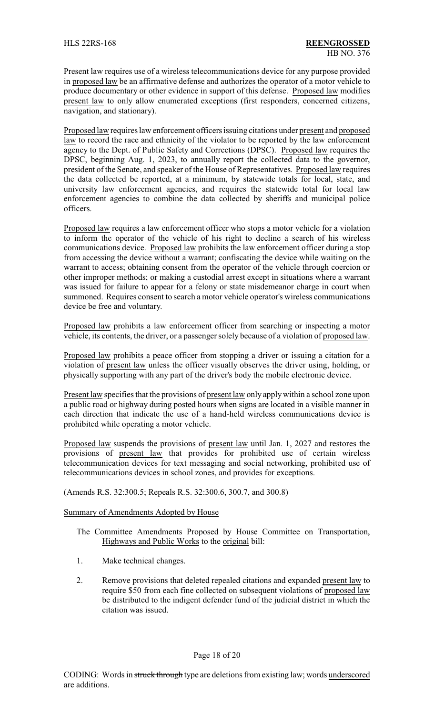Present law requires use of a wireless telecommunications device for any purpose provided in proposed law be an affirmative defense and authorizes the operator of a motor vehicle to produce documentary or other evidence in support of this defense. Proposed law modifies present law to only allow enumerated exceptions (first responders, concerned citizens, navigation, and stationary).

Proposed law requires law enforcement officers issuing citations under present and proposed law to record the race and ethnicity of the violator to be reported by the law enforcement agency to the Dept. of Public Safety and Corrections (DPSC). Proposed law requires the DPSC, beginning Aug. 1, 2023, to annually report the collected data to the governor, president of the Senate, and speaker of the House of Representatives. Proposed law requires the data collected be reported, at a minimum, by statewide totals for local, state, and university law enforcement agencies, and requires the statewide total for local law enforcement agencies to combine the data collected by sheriffs and municipal police officers.

Proposed law requires a law enforcement officer who stops a motor vehicle for a violation to inform the operator of the vehicle of his right to decline a search of his wireless communications device. Proposed law prohibits the law enforcement officer during a stop from accessing the device without a warrant; confiscating the device while waiting on the warrant to access; obtaining consent from the operator of the vehicle through coercion or other improper methods; or making a custodial arrest except in situations where a warrant was issued for failure to appear for a felony or state misdemeanor charge in court when summoned. Requires consent to search a motor vehicle operator's wireless communications device be free and voluntary.

Proposed law prohibits a law enforcement officer from searching or inspecting a motor vehicle, its contents, the driver, or a passenger solely because of a violation of proposed law.

Proposed law prohibits a peace officer from stopping a driver or issuing a citation for a violation of present law unless the officer visually observes the driver using, holding, or physically supporting with any part of the driver's body the mobile electronic device.

Present law specifies that the provisions of present law only apply within a school zone upon a public road or highway during posted hours when signs are located in a visible manner in each direction that indicate the use of a hand-held wireless communications device is prohibited while operating a motor vehicle.

Proposed law suspends the provisions of present law until Jan. 1, 2027 and restores the provisions of present law that provides for prohibited use of certain wireless telecommunication devices for text messaging and social networking, prohibited use of telecommunications devices in school zones, and provides for exceptions.

(Amends R.S. 32:300.5; Repeals R.S. 32:300.6, 300.7, and 300.8)

### Summary of Amendments Adopted by House

- The Committee Amendments Proposed by House Committee on Transportation, Highways and Public Works to the original bill:
- 1. Make technical changes.
- 2. Remove provisions that deleted repealed citations and expanded present law to require \$50 from each fine collected on subsequent violations of proposed law be distributed to the indigent defender fund of the judicial district in which the citation was issued.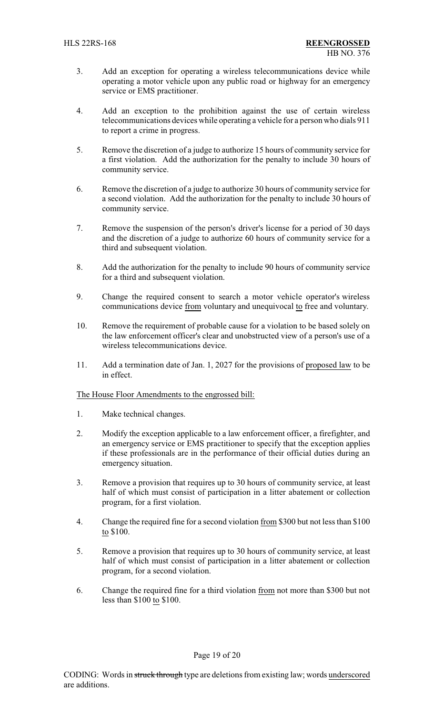- 3. Add an exception for operating a wireless telecommunications device while operating a motor vehicle upon any public road or highway for an emergency service or EMS practitioner.
- 4. Add an exception to the prohibition against the use of certain wireless telecommunications devices while operating a vehicle for a person who dials 911 to report a crime in progress.
- 5. Remove the discretion of a judge to authorize 15 hours of community service for a first violation. Add the authorization for the penalty to include 30 hours of community service.
- 6. Remove the discretion of a judge to authorize 30 hours of community service for a second violation. Add the authorization for the penalty to include 30 hours of community service.
- 7. Remove the suspension of the person's driver's license for a period of 30 days and the discretion of a judge to authorize 60 hours of community service for a third and subsequent violation.
- 8. Add the authorization for the penalty to include 90 hours of community service for a third and subsequent violation.
- 9. Change the required consent to search a motor vehicle operator's wireless communications device from voluntary and unequivocal to free and voluntary.
- 10. Remove the requirement of probable cause for a violation to be based solely on the law enforcement officer's clear and unobstructed view of a person's use of a wireless telecommunications device.
- 11. Add a termination date of Jan. 1, 2027 for the provisions of proposed law to be in effect.

### The House Floor Amendments to the engrossed bill:

- 1. Make technical changes.
- 2. Modify the exception applicable to a law enforcement officer, a firefighter, and an emergency service or EMS practitioner to specify that the exception applies if these professionals are in the performance of their official duties during an emergency situation.
- 3. Remove a provision that requires up to 30 hours of community service, at least half of which must consist of participation in a litter abatement or collection program, for a first violation.
- 4. Change the required fine for a second violation from \$300 but not less than \$100 to \$100.
- 5. Remove a provision that requires up to 30 hours of community service, at least half of which must consist of participation in a litter abatement or collection program, for a second violation.
- 6. Change the required fine for a third violation from not more than \$300 but not less than \$100 to \$100.